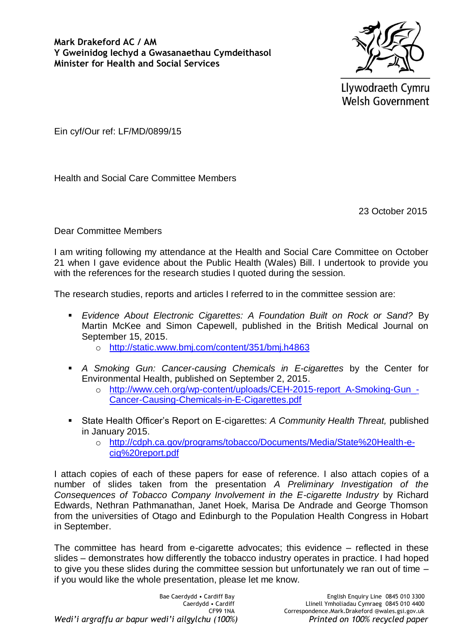**Mark Drakeford AC / AM Y Gweinidog Iechyd a Gwasanaethau Cymdeithasol Minister for Health and Social Services**



Llywodraeth Cymru **Welsh Government** 

Ein cyf/Our ref: LF/MD/0899/15

Health and Social Care Committee Members

23 October 2015

Dear Committee Members

I am writing following my attendance at the Health and Social Care Committee on October 21 when I gave evidence about the Public Health (Wales) Bill. I undertook to provide you with the references for the research studies I quoted during the session.

The research studies, reports and articles I referred to in the committee session are:

- *Evidence About Electronic Cigarettes: A Foundation Built on Rock or Sand?* By Martin McKee and Simon Capewell, published in the British Medical Journal on September 15, 2015.
	- o <http://static.www.bmj.com/content/351/bmj.h4863>
- *A Smoking Gun: Cancer-causing Chemicals in E-cigarettes* by the Center for Environmental Health, published on September 2, 2015.
	- o [http://www.ceh.org/wp-content/uploads/CEH-2015-report\\_A-Smoking-Gun\\_-](http://www.ceh.org/wp-content/uploads/CEH-2015-report_A-Smoking-Gun_-Cancer-Causing-Chemicals-in-E-Cigarettes.pdf) [Cancer-Causing-Chemicals-in-E-Cigarettes.pdf](http://www.ceh.org/wp-content/uploads/CEH-2015-report_A-Smoking-Gun_-Cancer-Causing-Chemicals-in-E-Cigarettes.pdf)
- State Health Officer's Report on E-cigarettes: *A Community Health Threat,* published in January 2015.
	- o [http://cdph.ca.gov/programs/tobacco/Documents/Media/State%20Health-e](http://cdph.ca.gov/programs/tobacco/Documents/Media/State%20Health-e-cig%20report.pdf)[cig%20report.pdf](http://cdph.ca.gov/programs/tobacco/Documents/Media/State%20Health-e-cig%20report.pdf)

I attach copies of each of these papers for ease of reference. I also attach copies of a number of slides taken from the presentation *A Preliminary Investigation of the Consequences of Tobacco Company Involvement in the E-cigarette Industry* by Richard Edwards, Nethran Pathmanathan, Janet Hoek, Marisa De Andrade and George Thomson from the universities of Otago and Edinburgh to the Population Health Congress in Hobart in September.

The committee has heard from e-cigarette advocates; this evidence – reflected in these slides – demonstrates how differently the tobacco industry operates in practice. I had hoped to give you these slides during the committee session but unfortunately we ran out of time – if you would like the whole presentation, please let me know.